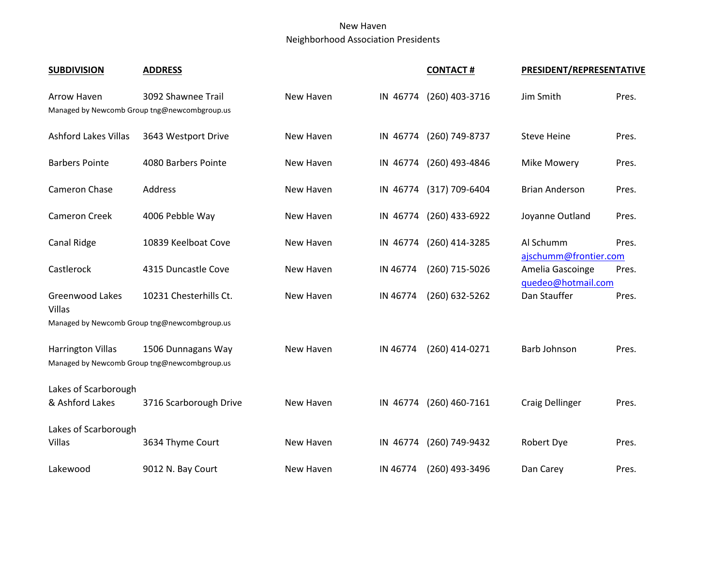## New Haven Neighborhood Association Presidents

| <b>SUBDIVISION</b>                      | <b>ADDRESS</b>                                                     |           |          | <b>CONTACT#</b>         | PRESIDENT/REPRESENTATIVE           |       |
|-----------------------------------------|--------------------------------------------------------------------|-----------|----------|-------------------------|------------------------------------|-------|
| Arrow Haven                             | 3092 Shawnee Trail<br>Managed by Newcomb Group tng@newcombgroup.us | New Haven | IN 46774 | (260) 403-3716          | Jim Smith                          | Pres. |
| <b>Ashford Lakes Villas</b>             | 3643 Westport Drive                                                | New Haven | IN 46774 | (260) 749-8737          | <b>Steve Heine</b>                 | Pres. |
| <b>Barbers Pointe</b>                   | 4080 Barbers Pointe                                                | New Haven | IN 46774 | (260) 493-4846          | Mike Mowery                        | Pres. |
| <b>Cameron Chase</b>                    | Address                                                            | New Haven |          | IN 46774 (317) 709-6404 | <b>Brian Anderson</b>              | Pres. |
| <b>Cameron Creek</b>                    | 4006 Pebble Way                                                    | New Haven | IN 46774 | (260) 433-6922          | Joyanne Outland                    | Pres. |
| Canal Ridge                             | 10839 Keelboat Cove                                                | New Haven | IN 46774 | (260) 414-3285          | Al Schumm<br>ajschumm@frontier.com | Pres. |
| Castlerock                              | 4315 Duncastle Cove                                                | New Haven | IN 46774 | (260) 715-5026          | Amelia Gascoinge                   | Pres. |
| Greenwood Lakes<br>Villas               | 10231 Chesterhills Ct.                                             | New Haven | IN 46774 | (260) 632-5262          | quedeo@hotmail.com<br>Dan Stauffer | Pres. |
|                                         | Managed by Newcomb Group tng@newcombgroup.us                       |           |          |                         |                                    |       |
| <b>Harrington Villas</b>                | 1506 Dunnagans Way<br>Managed by Newcomb Group tng@newcombgroup.us | New Haven | IN 46774 | (260) 414-0271          | Barb Johnson                       | Pres. |
| Lakes of Scarborough<br>& Ashford Lakes | 3716 Scarborough Drive                                             | New Haven | IN 46774 | $(260)$ 460-7161        | Craig Dellinger                    | Pres. |
| Lakes of Scarborough<br>Villas          | 3634 Thyme Court                                                   | New Haven | IN 46774 | (260) 749-9432          | Robert Dye                         | Pres. |
| Lakewood                                | 9012 N. Bay Court                                                  | New Haven | IN 46774 | (260) 493-3496          | Dan Carey                          | Pres. |